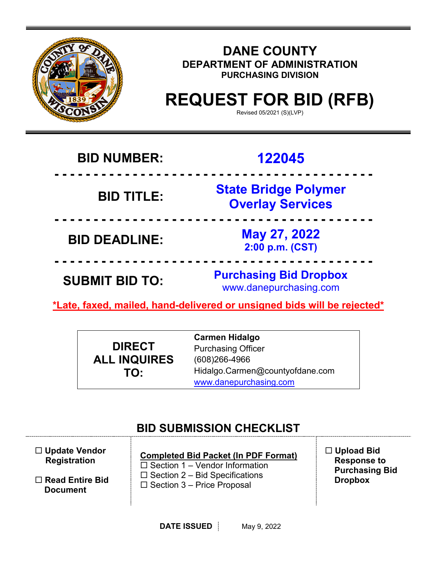

### **DANE COUNTY DEPARTMENT OF ADMINISTRATION PURCHASING DIVISION**

# **REQUEST FOR BID (RFB)**

Revised 05/2021 (S)(LVP)

# **BID NUMBER: 122045**

 **- - - - - - - - - - - - - - - - - - - - - - - - - - - - - - - - - - - - - - - - - BID TITLE: State Bridge Polymer Overlay Services**

**BID DEADLINE: May 27, 2022 2:00 p.m. (CST)**

**SUBMIT BID TO: Purchasing Bid Dropbox** www.danepurchasing.com

**\*Late, faxed, mailed, hand-delivered or unsigned bids will be rejected\*** 

 **- - - - - - - - - - - - - - - - - - - - - - - - - - - - - - - - - - - - - - - - -** 

 **- - - - - - - - - - - - - - - - - - - - - - - - - - - - - - - - - - - - - - - - -** 

|                     | <b>Carmen Hidalgo</b>           |
|---------------------|---------------------------------|
| <b>DIRECT</b>       | <b>Purchasing Officer</b>       |
| <b>ALL INQUIRES</b> | $(608)266 - 4966$               |
| TO:                 | Hidalgo.Carmen@countyofdane.com |
|                     | www.danepurchasing.com          |

# **BID SUBMISSION CHECKLIST**

| $\Box$ Update Vendor   | <b>Completed Bid Packet (In PDF Format)</b> |
|------------------------|---------------------------------------------|
| <b>Registration</b>    | $\Box$ Section 1 – Vendor Information       |
| $\Box$ Read Entire Bid | $\Box$ Section 2 – Bid Specifications       |
| <b>Document</b>        | $\Box$ Section 3 – Price Proposal           |

 **Upload Bid Response to Purchasing Bid Dropbox**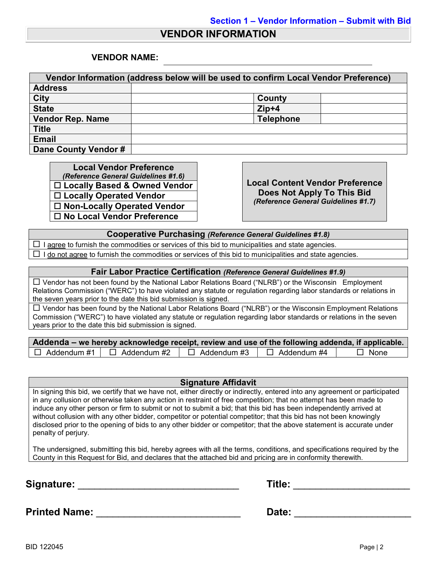### **VENDOR INFORMATION**

### **VENDOR NAME:**

| Vendor Information (address below will be used to confirm Local Vendor Preference) |                  |  |  |  |  |  |
|------------------------------------------------------------------------------------|------------------|--|--|--|--|--|
| <b>Address</b>                                                                     |                  |  |  |  |  |  |
| <b>City</b>                                                                        | County           |  |  |  |  |  |
| <b>State</b>                                                                       | $Zip+4$          |  |  |  |  |  |
| <b>Vendor Rep. Name</b>                                                            | <b>Telephone</b> |  |  |  |  |  |
| <b>Title</b>                                                                       |                  |  |  |  |  |  |
| <b>Email</b>                                                                       |                  |  |  |  |  |  |
| Dane County Vendor #                                                               |                  |  |  |  |  |  |

**Local Vendor Preference**<br>(*Reference General Guidelines #1.6*) *(Reference General Guidelines #1.6)* **Local Content Vendor Preference Locally Based & Owned Vendor Locally Operated Vendor Non-Locally Operated Vendor No Local Vendor Preference**

**Does Not Apply To This Bid** *(Reference General Guidelines #1.7)*

**Cooperative Purchasing** *(Reference General Guidelines #1.8)*

 $\Box$  I agree to furnish the commodities or services of this bid to municipalities and state agencies.  $\Box$  I do not agree to furnish the commodities or services of this bid to municipalities and state agencies.

#### **Fair Labor Practice Certification** *(Reference General Guidelines #1.9)*

 Vendor has not been found by the National Labor Relations Board ("NLRB") or the Wisconsin Employment Relations Commission ("WERC") to have violated any statute or regulation regarding labor standards or relations in the seven years prior to the date this bid submission is signed.

 Vendor has been found by the National Labor Relations Board ("NLRB") or the Wisconsin Employment Relations Commission ("WERC") to have violated any statute or regulation regarding labor standards or relations in the seven years prior to the date this bid submission is signed.

| Addenda – we hereby acknowledge receipt, review and use of the following addenda, if applicable. |                    |                    |             |
|--------------------------------------------------------------------------------------------------|--------------------|--------------------|-------------|
| $\Box$ Addendum #1 $\Box$ Addendum #2                                                            | $\Box$ Addendum #3 | $\Box$ Addendum #4 | $\Box$ None |

#### **Signature Affidavit**

In signing this bid, we certify that we have not, either directly or indirectly, entered into any agreement or participated in any collusion or otherwise taken any action in restraint of free competition; that no attempt has been made to induce any other person or firm to submit or not to submit a bid; that this bid has been independently arrived at without collusion with any other bidder, competitor or potential competitor; that this bid has not been knowingly disclosed prior to the opening of bids to any other bidder or competitor; that the above statement is accurate under penalty of perjury.

The undersigned, submitting this bid, hereby agrees with all the terms, conditions, and specifications required by the County in this Request for Bid, and declares that the attached bid and pricing are in conformity therewith.

**Signature:** \_\_\_\_\_\_\_\_\_\_\_\_\_\_\_\_\_\_\_\_\_\_\_\_\_\_\_\_\_ **Title:** \_\_\_\_\_\_\_\_\_\_\_\_\_\_\_\_\_\_\_\_\_

| Title: |  |
|--------|--|
|        |  |

**Printed Name:** \_\_\_\_\_\_\_\_\_\_\_\_\_\_\_\_\_\_\_\_\_\_\_\_\_\_ **Date:** \_\_\_\_\_\_\_\_\_\_\_\_\_\_\_\_\_\_\_\_\_

BID 122045 Page | 2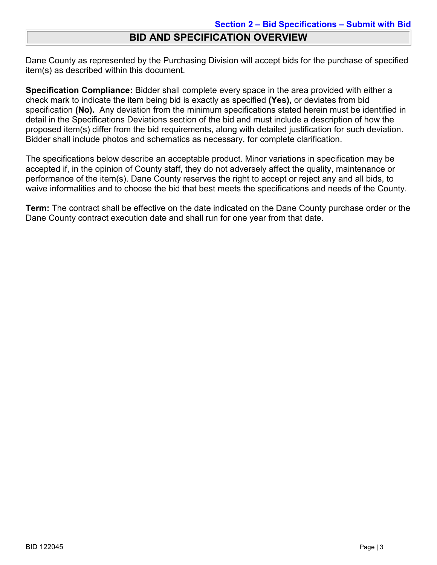### **BID AND SPECIFICATION OVERVIEW**

Dane County as represented by the Purchasing Division will accept bids for the purchase of specified item(s) as described within this document.

**Specification Compliance:** Bidder shall complete every space in the area provided with either a check mark to indicate the item being bid is exactly as specified **(Yes),** or deviates from bid specification **(No).** Any deviation from the minimum specifications stated herein must be identified in detail in the Specifications Deviations section of the bid and must include a description of how the proposed item(s) differ from the bid requirements, along with detailed justification for such deviation. Bidder shall include photos and schematics as necessary, for complete clarification.

The specifications below describe an acceptable product. Minor variations in specification may be accepted if, in the opinion of County staff, they do not adversely affect the quality, maintenance or performance of the item(s). Dane County reserves the right to accept or reject any and all bids, to waive informalities and to choose the bid that best meets the specifications and needs of the County.

**Term:** The contract shall be effective on the date indicated on the Dane County purchase order or the Dane County contract execution date and shall run for one year from that date.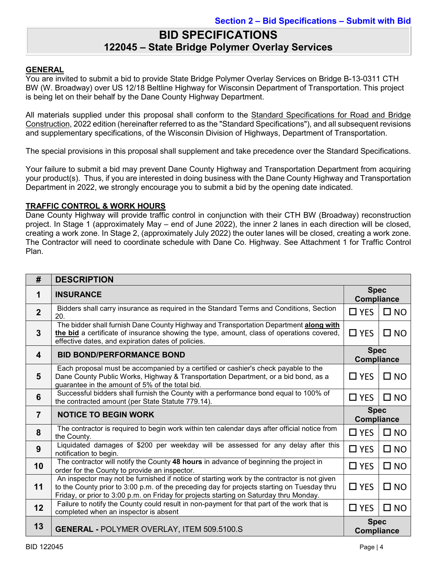### **BID SPECIFICATIONS 122045 – State Bridge Polymer Overlay Services**

### **GENERAL**

You are invited to submit a bid to provide State Bridge Polymer Overlay Services on Bridge B-13-0311 CTH BW (W. Broadway) over US 12/18 Beltline Highway for Wisconsin Department of Transportation. This project is being let on their behalf by the Dane County Highway Department.

All materials supplied under this proposal shall conform to the Standard Specifications for Road and Bridge Construction, 2022 edition (hereinafter referred to as the "Standard Specifications"), and all subsequent revisions and supplementary specifications, of the Wisconsin Division of Highways, Department of Transportation.

The special provisions in this proposal shall supplement and take precedence over the Standard Specifications.

Your failure to submit a bid may prevent Dane County Highway and Transportation Department from acquiring your product(s). Thus, if you are interested in doing business with the Dane County Highway and Transportation Department in 2022, we strongly encourage you to submit a bid by the opening date indicated.

### **TRAFFIC CONTROL & WORK HOURS**

Dane County Highway will provide traffic control in conjunction with their CTH BW (Broadway) reconstruction project. In Stage 1 (approximately May – end of June 2022), the inner 2 lanes in each direction will be closed, creating a work zone. In Stage 2, (approximately July 2022) the outer lanes will be closed, creating a work zone. The Contractor will need to coordinate schedule with Dane Co. Highway. See Attachment 1 for Traffic Control Plan.

| #              | <b>DESCRIPTION</b>                                                                                                                                                                                                                                                                   |                                  |              |  |  |  |
|----------------|--------------------------------------------------------------------------------------------------------------------------------------------------------------------------------------------------------------------------------------------------------------------------------------|----------------------------------|--------------|--|--|--|
| 1              | <b>INSURANCE</b>                                                                                                                                                                                                                                                                     | <b>Spec</b><br><b>Compliance</b> |              |  |  |  |
| 2 <sup>2</sup> | Bidders shall carry insurance as required in the Standard Terms and Conditions, Section<br>20.                                                                                                                                                                                       | $\Box$ YES                       | $\square$ NO |  |  |  |
| $\mathbf{3}$   | The bidder shall furnish Dane County Highway and Transportation Department along with<br>the bid a certificate of insurance showing the type, amount, class of operations covered,<br>effective dates, and expiration dates of policies.                                             | $\Box$ YES                       | $\square$ NO |  |  |  |
| 4              | <b>Spec</b><br><b>BID BOND/PERFORMANCE BOND</b><br><b>Compliance</b>                                                                                                                                                                                                                 |                                  |              |  |  |  |
| 5              | Each proposal must be accompanied by a certified or cashier's check payable to the<br>Dane County Public Works, Highway & Transportation Department, or a bid bond, as a<br>guarantee in the amount of 5% of the total bid.                                                          | $\Box$ YES                       | $\square$ NO |  |  |  |
| 6              | Successful bidders shall furnish the County with a performance bond equal to 100% of<br>the contracted amount (per State Statute 779.14).                                                                                                                                            | $\Box$ YES                       | $\square$ NO |  |  |  |
| $\overline{7}$ | <b>NOTICE TO BEGIN WORK</b>                                                                                                                                                                                                                                                          | <b>Spec</b><br><b>Compliance</b> |              |  |  |  |
| 8              | The contractor is required to begin work within ten calendar days after official notice from<br>the County.                                                                                                                                                                          | $\Box$ YES                       | $\square$ NO |  |  |  |
| 9              | Liquidated damages of \$200 per weekday will be assessed for any delay after this<br>notification to begin.                                                                                                                                                                          | $\square$ YES                    | $\square$ NO |  |  |  |
| 10             | The contractor will notify the County 48 hours in advance of beginning the project in<br>order for the County to provide an inspector.                                                                                                                                               | $\Box$ YES                       | $\square$ NO |  |  |  |
| 11             | An inspector may not be furnished if notice of starting work by the contractor is not given<br>to the County prior to 3:00 p.m. of the preceding day for projects starting on Tuesday thru<br>Friday, or prior to 3:00 p.m. on Friday for projects starting on Saturday thru Monday. | $\Box$ YES                       | $\square$ NO |  |  |  |
| 12             | Failure to notify the County could result in non-payment for that part of the work that is<br>completed when an inspector is absent                                                                                                                                                  | $\Box$ YES                       | $\square$ NO |  |  |  |
|                |                                                                                                                                                                                                                                                                                      | <b>Spec</b>                      |              |  |  |  |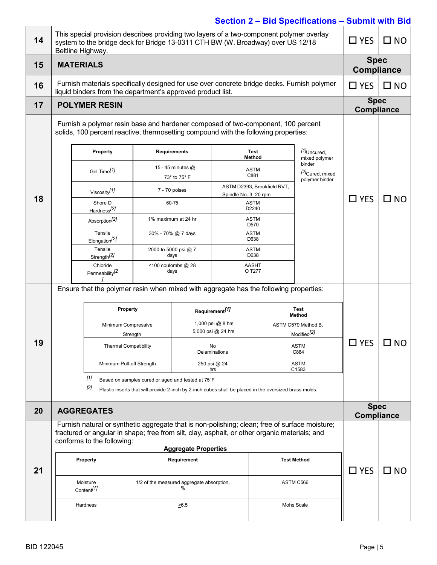| 14 | Beltline Highway.                                                                                                                                                       |                                                                                                                       | This special provision describes providing two layers of a two-component polymer overlay<br>system to the bridge deck for Bridge 13-0311 CTH BW (W. Broadway) over US 12/18 |                                                      |                       |                                        | $\sigma$                                                | $\Box$ YES                       | $\square$ NO |
|----|-------------------------------------------------------------------------------------------------------------------------------------------------------------------------|-----------------------------------------------------------------------------------------------------------------------|-----------------------------------------------------------------------------------------------------------------------------------------------------------------------------|------------------------------------------------------|-----------------------|----------------------------------------|---------------------------------------------------------|----------------------------------|--------------|
| 15 | <b>MATERIALS</b>                                                                                                                                                        |                                                                                                                       |                                                                                                                                                                             |                                                      |                       |                                        |                                                         | <b>Spec</b><br><b>Compliance</b> |              |
| 16 |                                                                                                                                                                         |                                                                                                                       | Furnish materials specifically designed for use over concrete bridge decks. Furnish polymer<br>liquid binders from the department's approved product list.                  |                                                      |                       |                                        |                                                         | $\square$ YES                    | $\square$ NO |
| 17 |                                                                                                                                                                         | <b>POLYMER RESIN</b>                                                                                                  |                                                                                                                                                                             |                                                      |                       |                                        |                                                         | <b>Spec</b><br><b>Compliance</b> |              |
|    | Furnish a polymer resin base and hardener composed of two-component, 100 percent<br>solids, 100 percent reactive, thermosetting compound with the following properties: |                                                                                                                       |                                                                                                                                                                             |                                                      |                       |                                        |                                                         |                                  |              |
|    |                                                                                                                                                                         | <b>Property</b>                                                                                                       |                                                                                                                                                                             | <b>Requirements</b>                                  |                       | Test<br>Method                         | [1] <sub>Uncured,</sub><br>mixed polymer                |                                  |              |
|    |                                                                                                                                                                         | Gel Time <sup>[1]</sup>                                                                                               |                                                                                                                                                                             | 15 - 45 minutes @<br>73° to 75° F                    |                       | <b>ASTM</b><br>C881                    | binder<br>[2] <sub>Cured, mixed</sub><br>polymer binder |                                  |              |
|    |                                                                                                                                                                         | Viscosity <sup>[1]</sup>                                                                                              |                                                                                                                                                                             | 7 - 70 poises                                        | Spindle No. 3, 20 rpm | ASTM D2393, Brookfield RVT,            |                                                         |                                  |              |
| 18 |                                                                                                                                                                         | Shore D<br>Hardness <sup>[2]</sup>                                                                                    |                                                                                                                                                                             | 60-75                                                |                       | <b>ASTM</b><br>D2240                   |                                                         | $\Box$ YES                       | $\square$ NO |
|    |                                                                                                                                                                         | Absorption <sup>[2]</sup>                                                                                             |                                                                                                                                                                             | 1% maximum at 24 hr                                  |                       | <b>ASTM</b><br>D570                    |                                                         |                                  |              |
|    | Tensile<br>Elongation <sup>[2]</sup><br>Tensile<br>Strength <sup>[2]</sup>                                                                                              |                                                                                                                       |                                                                                                                                                                             | 30% - 70% @ 7 days                                   |                       | <b>ASTM</b><br>D638                    |                                                         |                                  |              |
|    |                                                                                                                                                                         |                                                                                                                       |                                                                                                                                                                             | 2000 to 5000 psi @ 7<br>days                         |                       | <b>ASTM</b><br>D638                    |                                                         |                                  |              |
|    |                                                                                                                                                                         | Chloride<br>Permeability <sup>[2</sup>                                                                                |                                                                                                                                                                             | <100 coulombs @ 28<br><b>AASHT</b><br>O T277<br>days |                       |                                        |                                                         |                                  |              |
|    | Ensure that the polymer resin when mixed with aggregate has the following properties:                                                                                   |                                                                                                                       |                                                                                                                                                                             |                                                      |                       |                                        |                                                         |                                  |              |
|    | Property                                                                                                                                                                |                                                                                                                       | Requirement <sup>[1]</sup>                                                                                                                                                  |                                                      |                       | <b>Test</b><br>Method                  |                                                         |                                  |              |
|    | Minimum Compressive                                                                                                                                                     |                                                                                                                       |                                                                                                                                                                             | 1,000 psi @ 8 hrs<br>5,000 psi @ 24 hrs              |                       | ASTM C579 Method B,                    |                                                         |                                  |              |
| 19 |                                                                                                                                                                         |                                                                                                                       | Strength<br><b>Thermal Compatibility</b>                                                                                                                                    | No                                                   |                       | Modified <sup>[2]</sup><br><b>ASTM</b> | $\square$ YES                                           | $\square$ NO                     |              |
|    |                                                                                                                                                                         |                                                                                                                       |                                                                                                                                                                             |                                                      | C884<br>Delaminations |                                        | <b>ASTM</b>                                             |                                  |              |
|    |                                                                                                                                                                         | Minimum Pull-off Strength<br>250 psi @ 24<br>C1583<br>hrs<br>[1]<br>Based on samples cured or aged and tested at 75°F |                                                                                                                                                                             |                                                      |                       |                                        |                                                         |                                  |              |
|    |                                                                                                                                                                         | [2]<br>Plastic inserts that will provide 2-inch by 2-inch cubes shall be placed in the oversized brass molds.         |                                                                                                                                                                             |                                                      |                       |                                        |                                                         |                                  |              |
| 20 |                                                                                                                                                                         | <b>AGGREGATES</b>                                                                                                     |                                                                                                                                                                             |                                                      |                       |                                        |                                                         | <b>Spec</b><br><b>Compliance</b> |              |
|    |                                                                                                                                                                         |                                                                                                                       | Furnish natural or synthetic aggregate that is non-polishing; clean; free of surface moisture;                                                                              |                                                      |                       |                                        |                                                         |                                  |              |
|    |                                                                                                                                                                         | conforms to the following:                                                                                            | fractured or angular in shape; free from silt, clay, asphalt, or other organic materials; and                                                                               | <b>Aggregate Properties</b>                          |                       |                                        |                                                         |                                  |              |
|    |                                                                                                                                                                         | <b>Property</b>                                                                                                       |                                                                                                                                                                             | Requirement                                          |                       |                                        | <b>Test Method</b>                                      |                                  |              |
| 21 |                                                                                                                                                                         |                                                                                                                       |                                                                                                                                                                             |                                                      |                       |                                        |                                                         | $\Box$ YES                       | $\square$ NO |
|    |                                                                                                                                                                         | Moisture<br>Content <sup>[1]</sup>                                                                                    |                                                                                                                                                                             | 1/2 of the measured aggregate absorption,<br>%       |                       |                                        | ASTM C566                                               |                                  |              |
|    |                                                                                                                                                                         | Hardness                                                                                                              |                                                                                                                                                                             | $\geq 6.5$                                           |                       |                                        | Mohs Scale                                              |                                  |              |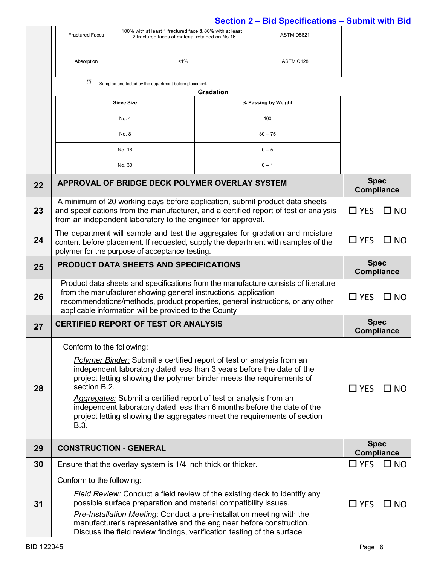|    | 100% with at least 1 fractured face & 80% with at least<br><b>Fractured Faces</b><br>2 fractured faces of material retained on No.16                                                                                                                                                                                                                                                                                                                                                                         |                                                                                                                                                                                                                                                                                                                                                                               | ASTM D5821 |                     |                                  |                                  |  |
|----|--------------------------------------------------------------------------------------------------------------------------------------------------------------------------------------------------------------------------------------------------------------------------------------------------------------------------------------------------------------------------------------------------------------------------------------------------------------------------------------------------------------|-------------------------------------------------------------------------------------------------------------------------------------------------------------------------------------------------------------------------------------------------------------------------------------------------------------------------------------------------------------------------------|------------|---------------------|----------------------------------|----------------------------------|--|
|    | Absorption                                                                                                                                                                                                                                                                                                                                                                                                                                                                                                   | ≤1%                                                                                                                                                                                                                                                                                                                                                                           |            | ASTM C128           |                                  |                                  |  |
|    | $[1]$                                                                                                                                                                                                                                                                                                                                                                                                                                                                                                        | Sampled and tested by the department before placement.                                                                                                                                                                                                                                                                                                                        | Gradation  |                     |                                  |                                  |  |
|    |                                                                                                                                                                                                                                                                                                                                                                                                                                                                                                              | <b>Sieve Size</b>                                                                                                                                                                                                                                                                                                                                                             |            | % Passing by Weight |                                  |                                  |  |
|    |                                                                                                                                                                                                                                                                                                                                                                                                                                                                                                              | No. 4                                                                                                                                                                                                                                                                                                                                                                         |            | 100                 |                                  |                                  |  |
|    |                                                                                                                                                                                                                                                                                                                                                                                                                                                                                                              | No. 8                                                                                                                                                                                                                                                                                                                                                                         |            | $30 - 75$           |                                  |                                  |  |
|    |                                                                                                                                                                                                                                                                                                                                                                                                                                                                                                              | No. 16                                                                                                                                                                                                                                                                                                                                                                        |            | $0 - 5$             |                                  |                                  |  |
|    |                                                                                                                                                                                                                                                                                                                                                                                                                                                                                                              | No. 30                                                                                                                                                                                                                                                                                                                                                                        |            | $0 - 1$             |                                  |                                  |  |
| 22 | APPROVAL OF BRIDGE DECK POLYMER OVERLAY SYSTEM                                                                                                                                                                                                                                                                                                                                                                                                                                                               | <b>Spec</b><br><b>Compliance</b>                                                                                                                                                                                                                                                                                                                                              |            |                     |                                  |                                  |  |
| 23 | A minimum of 20 working days before application, submit product data sheets<br>and specifications from the manufacturer, and a certified report of test or analysis<br>from an independent laboratory to the engineer for approval.                                                                                                                                                                                                                                                                          |                                                                                                                                                                                                                                                                                                                                                                               |            |                     | $\Box$ YES                       | $\square$ NO                     |  |
| 24 | The department will sample and test the aggregates for gradation and moisture<br>content before placement. If requested, supply the department with samples of the<br>polymer for the purpose of acceptance testing.                                                                                                                                                                                                                                                                                         |                                                                                                                                                                                                                                                                                                                                                                               |            |                     | $\Box$ YES                       | $\square$ NO                     |  |
| 25 | <b>PRODUCT DATA SHEETS AND SPECIFICATIONS</b>                                                                                                                                                                                                                                                                                                                                                                                                                                                                |                                                                                                                                                                                                                                                                                                                                                                               |            |                     |                                  | <b>Spec</b><br><b>Compliance</b> |  |
| 26 | Product data sheets and specifications from the manufacture consists of literature<br>from the manufacturer showing general instructions, application<br>recommendations/methods, product properties, general instructions, or any other<br>applicable information will be provided to the County                                                                                                                                                                                                            |                                                                                                                                                                                                                                                                                                                                                                               |            |                     | $\Box$ YES                       | $\square$ NO                     |  |
| 27 | <b>CERTIFIED REPORT OF TEST OR ANALYSIS</b>                                                                                                                                                                                                                                                                                                                                                                                                                                                                  |                                                                                                                                                                                                                                                                                                                                                                               |            |                     | <b>Spec</b><br><b>Compliance</b> |                                  |  |
| 28 | Conform to the following:<br><b>Polymer Binder:</b> Submit a certified report of test or analysis from an<br>independent laboratory dated less than 3 years before the date of the<br>project letting showing the polymer binder meets the requirements of<br>section B.2.<br>Aggregates: Submit a certified report of test or analysis from an<br>independent laboratory dated less than 6 months before the date of the<br>project letting showing the aggregates meet the requirements of section<br>B.3. |                                                                                                                                                                                                                                                                                                                                                                               |            |                     |                                  | $\square$ NO                     |  |
| 29 | <b>CONSTRUCTION - GENERAL</b>                                                                                                                                                                                                                                                                                                                                                                                                                                                                                |                                                                                                                                                                                                                                                                                                                                                                               |            |                     |                                  | <b>Spec</b><br><b>Compliance</b> |  |
| 30 |                                                                                                                                                                                                                                                                                                                                                                                                                                                                                                              | Ensure that the overlay system is 1/4 inch thick or thicker.                                                                                                                                                                                                                                                                                                                  |            |                     | $\Box$ YES                       | $\square$ NO                     |  |
|    | Conform to the following:                                                                                                                                                                                                                                                                                                                                                                                                                                                                                    |                                                                                                                                                                                                                                                                                                                                                                               |            |                     |                                  |                                  |  |
| 31 |                                                                                                                                                                                                                                                                                                                                                                                                                                                                                                              | <b>Field Review:</b> Conduct a field review of the existing deck to identify any<br>possible surface preparation and material compatibility issues.<br>Pre-Installation Meeting: Conduct a pre-installation meeting with the<br>manufacturer's representative and the engineer before construction.<br>Discuss the field review findings, verification testing of the surface |            |                     | $\Box$ YES                       | $\square$ NO                     |  |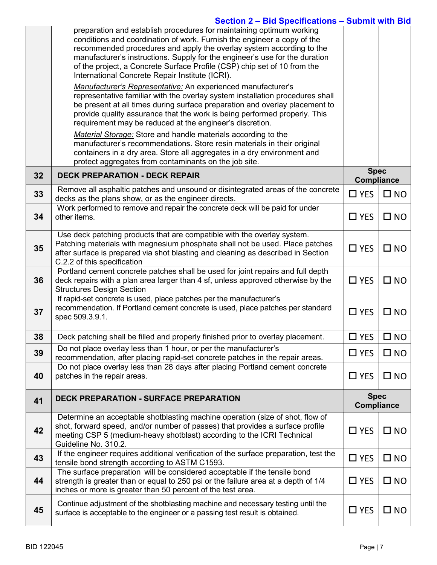|    | Section 2 - Bid Specifications - Submit with Bid<br>preparation and establish procedures for maintaining optimum working<br>conditions and coordination of work. Furnish the engineer a copy of the<br>recommended procedures and apply the overlay system according to the<br>manufacturer's instructions. Supply for the engineer's use for the duration<br>of the project, a Concrete Surface Profile (CSP) chip set of 10 from the<br>International Concrete Repair Institute (ICRI).<br>Manufacturer's Representative: An experienced manufacturer's<br>representative familiar with the overlay system installation procedures shall<br>be present at all times during surface preparation and overlay placement to<br>provide quality assurance that the work is being performed properly. This<br>requirement may be reduced at the engineer's discretion.<br>Material Storage: Store and handle materials according to the<br>manufacturer's recommendations. Store resin materials in their original<br>containers in a dry area. Store all aggregates in a dry environment and<br>protect aggregates from contaminants on the job site. |                                  |              |
|----|----------------------------------------------------------------------------------------------------------------------------------------------------------------------------------------------------------------------------------------------------------------------------------------------------------------------------------------------------------------------------------------------------------------------------------------------------------------------------------------------------------------------------------------------------------------------------------------------------------------------------------------------------------------------------------------------------------------------------------------------------------------------------------------------------------------------------------------------------------------------------------------------------------------------------------------------------------------------------------------------------------------------------------------------------------------------------------------------------------------------------------------------------|----------------------------------|--------------|
| 32 | <b>DECK PREPARATION - DECK REPAIR</b>                                                                                                                                                                                                                                                                                                                                                                                                                                                                                                                                                                                                                                                                                                                                                                                                                                                                                                                                                                                                                                                                                                              | <b>Spec</b><br><b>Compliance</b> |              |
| 33 | Remove all asphaltic patches and unsound or disintegrated areas of the concrete<br>decks as the plans show, or as the engineer directs.                                                                                                                                                                                                                                                                                                                                                                                                                                                                                                                                                                                                                                                                                                                                                                                                                                                                                                                                                                                                            | $\Box$ YES                       | $\square$ NO |
| 34 | Work performed to remove and repair the concrete deck will be paid for under<br>other items.                                                                                                                                                                                                                                                                                                                                                                                                                                                                                                                                                                                                                                                                                                                                                                                                                                                                                                                                                                                                                                                       | $\Box$ YES                       | $\square$ NO |
| 35 | Use deck patching products that are compatible with the overlay system.<br>Patching materials with magnesium phosphate shall not be used. Place patches<br>after surface is prepared via shot blasting and cleaning as described in Section<br>C.2.2 of this specification                                                                                                                                                                                                                                                                                                                                                                                                                                                                                                                                                                                                                                                                                                                                                                                                                                                                         | $\Box$ YES                       | $\square$ NO |
| 36 | Portland cement concrete patches shall be used for joint repairs and full depth<br>deck repairs with a plan area larger than 4 sf, unless approved otherwise by the<br><b>Structures Design Section</b>                                                                                                                                                                                                                                                                                                                                                                                                                                                                                                                                                                                                                                                                                                                                                                                                                                                                                                                                            | $\Box$ YES                       | $\square$ NO |
| 37 | If rapid-set concrete is used, place patches per the manufacturer's<br>recommendation. If Portland cement concrete is used, place patches per standard<br>spec 509.3.9.1.                                                                                                                                                                                                                                                                                                                                                                                                                                                                                                                                                                                                                                                                                                                                                                                                                                                                                                                                                                          | $\Box$ YES                       | $\square$ NO |
| 38 | Deck patching shall be filled and properly finished prior to overlay placement.                                                                                                                                                                                                                                                                                                                                                                                                                                                                                                                                                                                                                                                                                                                                                                                                                                                                                                                                                                                                                                                                    | $\square$ YES                    | $\square$ NO |
| 39 | Do not place overlay less than 1 hour, or per the manufacturer's<br>recommendation, after placing rapid-set concrete patches in the repair areas.                                                                                                                                                                                                                                                                                                                                                                                                                                                                                                                                                                                                                                                                                                                                                                                                                                                                                                                                                                                                  | $\Box$ YES                       | $\square$ NO |
| 40 | Do not place overlay less than 28 days after placing Portland cement concrete<br>patches in the repair areas.                                                                                                                                                                                                                                                                                                                                                                                                                                                                                                                                                                                                                                                                                                                                                                                                                                                                                                                                                                                                                                      | $\Box$ YES                       | $\square$ NO |
| 41 | <b>DECK PREPARATION - SURFACE PREPARATION</b>                                                                                                                                                                                                                                                                                                                                                                                                                                                                                                                                                                                                                                                                                                                                                                                                                                                                                                                                                                                                                                                                                                      | <b>Spec</b><br><b>Compliance</b> |              |
| 42 | Determine an acceptable shotblasting machine operation (size of shot, flow of<br>shot, forward speed, and/or number of passes) that provides a surface profile<br>meeting CSP 5 (medium-heavy shotblast) according to the ICRI Technical<br>Guideline No. 310.2.                                                                                                                                                                                                                                                                                                                                                                                                                                                                                                                                                                                                                                                                                                                                                                                                                                                                                   | $\Box$ YES                       | $\square$ NO |
| 43 | If the engineer requires additional verification of the surface preparation, test the<br>tensile bond strength according to ASTM C1593.                                                                                                                                                                                                                                                                                                                                                                                                                                                                                                                                                                                                                                                                                                                                                                                                                                                                                                                                                                                                            | $\Box$ YES                       | $\square$ NO |
| 44 | The surface preparation will be considered acceptable if the tensile bond<br>strength is greater than or equal to 250 psi or the failure area at a depth of 1/4<br>inches or more is greater than 50 percent of the test area.                                                                                                                                                                                                                                                                                                                                                                                                                                                                                                                                                                                                                                                                                                                                                                                                                                                                                                                     | $\Box$ YES                       | $\square$ NO |
| 45 | Continue adjustment of the shotblasting machine and necessary testing until the<br>surface is acceptable to the engineer or a passing test result is obtained.                                                                                                                                                                                                                                                                                                                                                                                                                                                                                                                                                                                                                                                                                                                                                                                                                                                                                                                                                                                     | $\Box$ YES                       | $\square$ NO |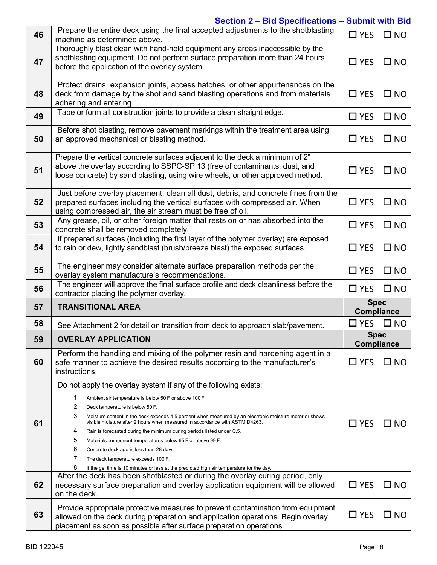|    | Section 2 - Bid Specifications - Submit with Bid                                                                                                                                                                                                                                                                                                                                                                                                                                                                                                                                                                                                                                                                            |                                  |              |
|----|-----------------------------------------------------------------------------------------------------------------------------------------------------------------------------------------------------------------------------------------------------------------------------------------------------------------------------------------------------------------------------------------------------------------------------------------------------------------------------------------------------------------------------------------------------------------------------------------------------------------------------------------------------------------------------------------------------------------------------|----------------------------------|--------------|
| 46 | Prepare the entire deck using the final accepted adjustments to the shotblasting<br>machine as determined above.                                                                                                                                                                                                                                                                                                                                                                                                                                                                                                                                                                                                            | $\Box$ YES                       | $\square$ NO |
| 47 | Thoroughly blast clean with hand-held equipment any areas inaccessible by the<br>shotblasting equipment. Do not perform surface preparation more than 24 hours<br>before the application of the overlay system.                                                                                                                                                                                                                                                                                                                                                                                                                                                                                                             | $\Box$ YES                       | $\square$ NO |
| 48 | Protect drains, expansion joints, access hatches, or other appurtenances on the<br>deck from damage by the shot and sand blasting operations and from materials<br>adhering and entering.                                                                                                                                                                                                                                                                                                                                                                                                                                                                                                                                   | $\Box$ YES                       | $\square$ NO |
| 49 | Tape or form all construction joints to provide a clean straight edge.                                                                                                                                                                                                                                                                                                                                                                                                                                                                                                                                                                                                                                                      | $\Box$ YES                       | $\square$ NO |
| 50 | Before shot blasting, remove pavement markings within the treatment area using<br>an approved mechanical or blasting method.                                                                                                                                                                                                                                                                                                                                                                                                                                                                                                                                                                                                | $\Box$ YES                       | $\square$ NO |
| 51 | Prepare the vertical concrete surfaces adjacent to the deck a minimum of 2"<br>above the overlay according to SSPC-SP 13 (free of contaminants, dust, and<br>loose concrete) by sand blasting, using wire wheels, or other approved method.                                                                                                                                                                                                                                                                                                                                                                                                                                                                                 | $\square$ YES                    | $\square$ NO |
| 52 | Just before overlay placement, clean all dust, debris, and concrete fines from the<br>prepared surfaces including the vertical surfaces with compressed air. When<br>using compressed air, the air stream must be free of oil.                                                                                                                                                                                                                                                                                                                                                                                                                                                                                              | $\Box$ YES                       | $\square$ NO |
| 53 | Any grease, oil, or other foreign matter that rests on or has absorbed into the<br>concrete shall be removed completely.                                                                                                                                                                                                                                                                                                                                                                                                                                                                                                                                                                                                    | $\Box$ YES                       | $\square$ NO |
| 54 | If prepared surfaces (including the first layer of the polymer overlay) are exposed<br>to rain or dew, lightly sandblast (brush/breeze blast) the exposed surfaces.                                                                                                                                                                                                                                                                                                                                                                                                                                                                                                                                                         | $\Box$ YES                       | $\square$ NO |
|    | The engineer may consider alternate surface preparation methods per the                                                                                                                                                                                                                                                                                                                                                                                                                                                                                                                                                                                                                                                     |                                  |              |
| 55 | overlay system manufacture's recommendations.                                                                                                                                                                                                                                                                                                                                                                                                                                                                                                                                                                                                                                                                               | $\Box$ YES                       | $\square$ NO |
| 56 | The engineer will approve the final surface profile and deck cleanliness before the<br>contractor placing the polymer overlay.                                                                                                                                                                                                                                                                                                                                                                                                                                                                                                                                                                                              | $\Box$ YES                       | $\square$ NO |
| 57 | <b>TRANSITIONAL AREA</b>                                                                                                                                                                                                                                                                                                                                                                                                                                                                                                                                                                                                                                                                                                    | <b>Spec</b><br><b>Compliance</b> |              |
| 58 | See Attachment 2 for detail on transition from deck to approach slab/pavement.                                                                                                                                                                                                                                                                                                                                                                                                                                                                                                                                                                                                                                              | $\Box$ YES                       | $\square$ NO |
| 59 | <b>OVERLAY APPLICATION</b>                                                                                                                                                                                                                                                                                                                                                                                                                                                                                                                                                                                                                                                                                                  | <b>Spec</b><br><b>Compliance</b> |              |
| 60 | Perform the handling and mixing of the polymer resin and hardening agent in a<br>safe manner to achieve the desired results according to the manufacturer's<br>instructions.                                                                                                                                                                                                                                                                                                                                                                                                                                                                                                                                                | $\Box$ YES                       | $\square$ NO |
| 61 | Do not apply the overlay system if any of the following exists:<br>1.<br>Ambient air temperature is below 50 F or above 100 F.<br>2.<br>Deck temperature is below 50 F.<br>3.<br>Moisture content in the deck exceeds 4.5 percent when measured by an electronic moisture meter or shows<br>visible moisture after 2 hours when measured in accordance with ASTM D4263.<br>4.<br>Rain is forecasted during the minimum curing periods listed under C.5.<br>5.<br>Materials component temperatures below 65 F or above 99 F.<br>6.<br>Concrete deck age is less than 28 days.<br>7.<br>The deck temperature exceeds 100 F.<br>8.<br>If the gel time is 10 minutes or less at the predicted high air temperature for the day. | $\Box$ YES                       | $\square$ NO |
| 62 | After the deck has been shotblasted or during the overlay curing period, only<br>necessary surface preparation and overlay application equipment will be allowed<br>on the deck.                                                                                                                                                                                                                                                                                                                                                                                                                                                                                                                                            | $\Box$ YES                       | $\square$ NO |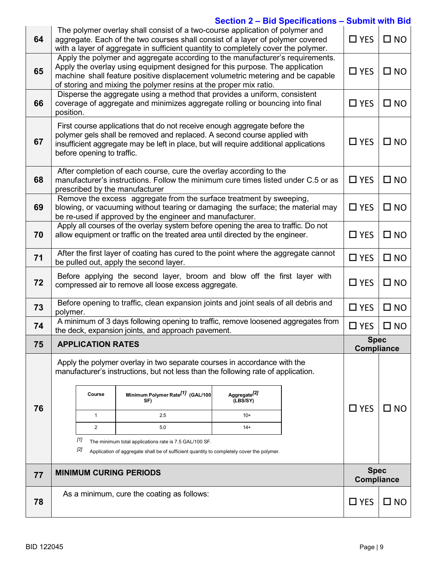| 64 |                                                                                                                                                                                                                                                                              | The polymer overlay shall consist of a two-course application of polymer and<br>aggregate. Each of the two courses shall consist of a layer of polymer covered<br>with a layer of aggregate in sufficient quantity to completely cover the polymer. | $\Box$ YES                                                                                                                                                                                                                                                                                                           | $\square$ NO                         |  |                                  |              |
|----|------------------------------------------------------------------------------------------------------------------------------------------------------------------------------------------------------------------------------------------------------------------------------|-----------------------------------------------------------------------------------------------------------------------------------------------------------------------------------------------------------------------------------------------------|----------------------------------------------------------------------------------------------------------------------------------------------------------------------------------------------------------------------------------------------------------------------------------------------------------------------|--------------------------------------|--|----------------------------------|--------------|
| 65 |                                                                                                                                                                                                                                                                              |                                                                                                                                                                                                                                                     | Apply the polymer and aggregate according to the manufacturer's requirements.<br>Apply the overlay using equipment designed for this purpose. The application<br>machine shall feature positive displacement volumetric metering and be capable<br>of storing and mixing the polymer resins at the proper mix ratio. |                                      |  | $\square$ YES                    | $\square$ NO |
| 66 | position.                                                                                                                                                                                                                                                                    | Disperse the aggregate using a method that provides a uniform, consistent<br>coverage of aggregate and minimizes aggregate rolling or bouncing into final                                                                                           | $\square$ YES                                                                                                                                                                                                                                                                                                        | $\square$ NO                         |  |                                  |              |
| 67 | First course applications that do not receive enough aggregate before the<br>polymer gels shall be removed and replaced. A second course applied with<br>insufficient aggregate may be left in place, but will require additional applications<br>before opening to traffic. | $\square$ YES                                                                                                                                                                                                                                       | $\square$ NO                                                                                                                                                                                                                                                                                                         |                                      |  |                                  |              |
| 68 |                                                                                                                                                                                                                                                                              |                                                                                                                                                                                                                                                     | After completion of each course, cure the overlay according to the<br>manufacturer's instructions. Follow the minimum cure times listed under C.5 or as<br>prescribed by the manufacturer                                                                                                                            |                                      |  | $\Box$ YES                       | $\square$ NO |
| 69 |                                                                                                                                                                                                                                                                              |                                                                                                                                                                                                                                                     | Remove the excess aggregate from the surface treatment by sweeping,<br>blowing, or vacuuming without tearing or damaging the surface; the material may<br>be re-used if approved by the engineer and manufacturer.                                                                                                   |                                      |  | $\Box$ YES                       | $\square$ NO |
| 70 |                                                                                                                                                                                                                                                                              |                                                                                                                                                                                                                                                     | Apply all courses of the overlay system before opening the area to traffic. Do not<br>allow equipment or traffic on the treated area until directed by the engineer.                                                                                                                                                 |                                      |  | $\square$ YES                    | $\square$ NO |
| 71 | After the first layer of coating has cured to the point where the aggregate cannot<br>be pulled out, apply the second layer.                                                                                                                                                 |                                                                                                                                                                                                                                                     |                                                                                                                                                                                                                                                                                                                      |                                      |  |                                  | $\square$ NO |
| 72 | Before applying the second layer, broom and blow off the first layer with<br>compressed air to remove all loose excess aggregate.                                                                                                                                            |                                                                                                                                                                                                                                                     |                                                                                                                                                                                                                                                                                                                      |                                      |  |                                  | $\square$ NO |
| 73 | Before opening to traffic, clean expansion joints and joint seals of all debris and<br>polymer.                                                                                                                                                                              |                                                                                                                                                                                                                                                     |                                                                                                                                                                                                                                                                                                                      |                                      |  |                                  | $\square$ NO |
| 74 |                                                                                                                                                                                                                                                                              |                                                                                                                                                                                                                                                     | A minimum of 3 days following opening to traffic, remove loosened aggregates from<br>the deck, expansion joints, and approach pavement.                                                                                                                                                                              |                                      |  | $\square$ YES                    | $\square$ NO |
| 75 |                                                                                                                                                                                                                                                                              | <b>APPLICATION RATES</b>                                                                                                                                                                                                                            |                                                                                                                                                                                                                                                                                                                      |                                      |  | <b>Spec</b><br><b>Compliance</b> |              |
|    |                                                                                                                                                                                                                                                                              |                                                                                                                                                                                                                                                     | Apply the polymer overlay in two separate courses in accordance with the<br>manufacturer's instructions, but not less than the following rate of application.                                                                                                                                                        |                                      |  |                                  |              |
|    |                                                                                                                                                                                                                                                                              | Course                                                                                                                                                                                                                                              | Minimum Polymer Rate <sup>[1]</sup> (GAL/100<br>SF)                                                                                                                                                                                                                                                                  | Aggregate <sup>[2]</sup><br>(LBS/SY) |  | $\Box$ YES                       | $\square$ NO |
| 76 |                                                                                                                                                                                                                                                                              | $\mathbf{1}$                                                                                                                                                                                                                                        | 2.5                                                                                                                                                                                                                                                                                                                  | $10+$                                |  |                                  |              |
|    |                                                                                                                                                                                                                                                                              | 2                                                                                                                                                                                                                                                   | 5.0                                                                                                                                                                                                                                                                                                                  | $14+$                                |  |                                  |              |
|    |                                                                                                                                                                                                                                                                              | [1]<br>The minimum total applications rate is 7.5 GAL/100 SF.<br>[2]<br>Application of aggregate shall be of sufficient quantity to completely cover the polymer.                                                                                   |                                                                                                                                                                                                                                                                                                                      |                                      |  |                                  |              |
| 77 |                                                                                                                                                                                                                                                                              |                                                                                                                                                                                                                                                     | <b>MINIMUM CURING PERIODS</b>                                                                                                                                                                                                                                                                                        |                                      |  | <b>Spec</b>                      |              |
|    |                                                                                                                                                                                                                                                                              |                                                                                                                                                                                                                                                     |                                                                                                                                                                                                                                                                                                                      |                                      |  | <b>Compliance</b>                |              |
| 78 |                                                                                                                                                                                                                                                                              |                                                                                                                                                                                                                                                     | As a minimum, cure the coating as follows:                                                                                                                                                                                                                                                                           |                                      |  | $\Box$ YES                       | $\square$ NO |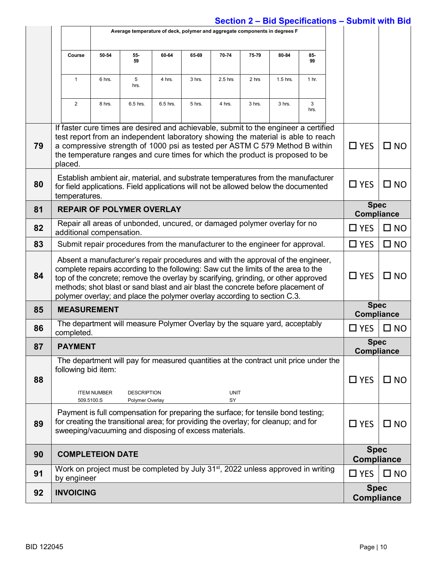|    | Average temperature of deck, polymer and aggregate components in degrees F                                                                                                                                                                                                                                                                                                                                                   |                                                                                                                                                                                           |                                       |          |        |                   |        |          |                                                                                                                                                                                                                                                        |                                  |              |
|----|------------------------------------------------------------------------------------------------------------------------------------------------------------------------------------------------------------------------------------------------------------------------------------------------------------------------------------------------------------------------------------------------------------------------------|-------------------------------------------------------------------------------------------------------------------------------------------------------------------------------------------|---------------------------------------|----------|--------|-------------------|--------|----------|--------------------------------------------------------------------------------------------------------------------------------------------------------------------------------------------------------------------------------------------------------|----------------------------------|--------------|
|    | Course                                                                                                                                                                                                                                                                                                                                                                                                                       | 50-54                                                                                                                                                                                     | 55-<br>59                             | 60-64    | 65-69  | 70-74             | 75-79  | 80-84    | 85-<br>99                                                                                                                                                                                                                                              |                                  |              |
|    | $\mathbf{1}$                                                                                                                                                                                                                                                                                                                                                                                                                 | 6 hrs.                                                                                                                                                                                    | 5<br>hrs.                             | 4 hrs.   | 3 hrs. | $2.5$ hrs         | 2 hrs  | 1.5 hrs. | 1 <sub>hr.</sub>                                                                                                                                                                                                                                       |                                  |              |
|    | $\overline{2}$                                                                                                                                                                                                                                                                                                                                                                                                               | 8 hrs.                                                                                                                                                                                    | 6.5 hrs.                              | 6.5 hrs. | 5 hrs. | 4 hrs.            | 3 hrs. | 3 hrs.   | 3<br>hrs.                                                                                                                                                                                                                                              |                                  |              |
| 79 | the temperature ranges and cure times for which the product is proposed to be<br>placed.                                                                                                                                                                                                                                                                                                                                     |                                                                                                                                                                                           |                                       |          |        |                   |        |          | If faster cure times are desired and achievable, submit to the engineer a certified<br>test report from an independent laboratory showing the material is able to reach<br>a compressive strength of 1000 psi as tested per ASTM C 579 Method B within | $\Box$ YES                       | $\square$ NO |
| 80 |                                                                                                                                                                                                                                                                                                                                                                                                                              | Establish ambient air, material, and substrate temperatures from the manufacturer<br>for field applications. Field applications will not be allowed below the documented<br>temperatures. |                                       |          |        |                   |        |          |                                                                                                                                                                                                                                                        | $\Box$ YES                       | $\square$ NO |
| 81 | <b>REPAIR OF POLYMER OVERLAY</b>                                                                                                                                                                                                                                                                                                                                                                                             |                                                                                                                                                                                           |                                       |          |        |                   |        |          |                                                                                                                                                                                                                                                        | <b>Spec</b><br><b>Compliance</b> |              |
| 82 | Repair all areas of unbonded, uncured, or damaged polymer overlay for no<br>additional compensation.                                                                                                                                                                                                                                                                                                                         |                                                                                                                                                                                           |                                       |          |        |                   |        |          |                                                                                                                                                                                                                                                        | $\square$ YES                    | $\square$ NO |
| 83 | Submit repair procedures from the manufacturer to the engineer for approval.                                                                                                                                                                                                                                                                                                                                                 |                                                                                                                                                                                           |                                       |          |        |                   |        |          |                                                                                                                                                                                                                                                        | $\Box$ YES                       | $\square$ NO |
| 84 | Absent a manufacturer's repair procedures and with the approval of the engineer,<br>complete repairs according to the following: Saw cut the limits of the area to the<br>top of the concrete; remove the overlay by scarifying, grinding, or other approved<br>methods; shot blast or sand blast and air blast the concrete before placement of<br>polymer overlay; and place the polymer overlay according to section C.3. |                                                                                                                                                                                           |                                       |          |        |                   |        |          |                                                                                                                                                                                                                                                        | $\Box$ YES                       | $\square$ NO |
| 85 | <b>MEASUREMENT</b>                                                                                                                                                                                                                                                                                                                                                                                                           |                                                                                                                                                                                           |                                       |          |        |                   |        |          |                                                                                                                                                                                                                                                        | <b>Spec</b><br><b>Compliance</b> |              |
| 86 | The department will measure Polymer Overlay by the square yard, acceptably<br>completed.                                                                                                                                                                                                                                                                                                                                     |                                                                                                                                                                                           |                                       |          |        |                   |        |          |                                                                                                                                                                                                                                                        | $\Box$ YES                       | $\square$ NO |
| 87 | <b>PAYMENT</b>                                                                                                                                                                                                                                                                                                                                                                                                               |                                                                                                                                                                                           |                                       |          |        |                   |        |          |                                                                                                                                                                                                                                                        | <b>Spec</b><br><b>Compliance</b> |              |
| 88 | following bid item:                                                                                                                                                                                                                                                                                                                                                                                                          | <b>ITEM NUMBER</b><br>509.5100.S                                                                                                                                                          | <b>DESCRIPTION</b><br>Polymer Overlay |          |        | <b>UNIT</b><br>SY |        |          | The department will pay for measured quantities at the contract unit price under the                                                                                                                                                                   | $\Box$ YES                       | $\square$ NO |
| 89 | Payment is full compensation for preparing the surface; for tensile bond testing;<br>for creating the transitional area; for providing the overlay; for cleanup; and for<br>sweeping/vacuuming and disposing of excess materials.                                                                                                                                                                                            |                                                                                                                                                                                           |                                       |          |        |                   |        |          | $\Box$ YES                                                                                                                                                                                                                                             | $\square$ NO                     |              |
| 90 | <b>COMPLETEION DATE</b>                                                                                                                                                                                                                                                                                                                                                                                                      |                                                                                                                                                                                           |                                       |          |        |                   |        |          |                                                                                                                                                                                                                                                        | <b>Spec</b><br><b>Compliance</b> |              |
| 91 | by engineer                                                                                                                                                                                                                                                                                                                                                                                                                  |                                                                                                                                                                                           |                                       |          |        |                   |        |          | Work on project must be completed by July 31 <sup>st</sup> , 2022 unless approved in writing                                                                                                                                                           | $\Box$ YES                       | $\square$ NO |
| 92 | <b>INVOICING</b>                                                                                                                                                                                                                                                                                                                                                                                                             |                                                                                                                                                                                           |                                       |          |        |                   |        |          |                                                                                                                                                                                                                                                        | <b>Spec</b><br><b>Compliance</b> |              |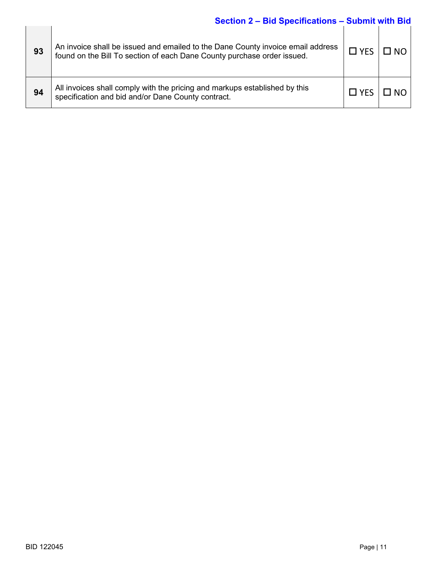| 93 | An invoice shall be issued and emailed to the Dane County invoice email address<br>found on the Bill To section of each Dane County purchase order issued. | $\Box$ YES | $\square$ NO |
|----|------------------------------------------------------------------------------------------------------------------------------------------------------------|------------|--------------|
|    |                                                                                                                                                            |            |              |
| 94 | All invoices shall comply with the pricing and markups established by this<br>specification and bid and/or Dane County contract.                           | $\Box$ YES | $\square$ NO |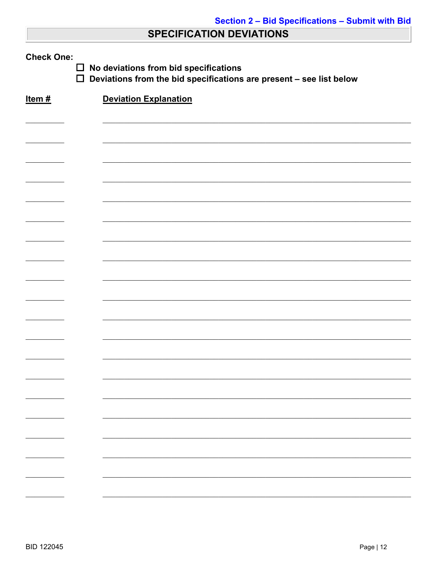# **SPECIFICATION DEVIATIONS**

| <b>Check One:</b><br>No deviations from bid specifications<br>$\Box$<br>$\Box$<br>Deviations from the bid specifications are present - see list below |                              |  |  |  |  |  |  |
|-------------------------------------------------------------------------------------------------------------------------------------------------------|------------------------------|--|--|--|--|--|--|
| Item $#$                                                                                                                                              | <b>Deviation Explanation</b> |  |  |  |  |  |  |
|                                                                                                                                                       |                              |  |  |  |  |  |  |
|                                                                                                                                                       |                              |  |  |  |  |  |  |
|                                                                                                                                                       |                              |  |  |  |  |  |  |
|                                                                                                                                                       |                              |  |  |  |  |  |  |
|                                                                                                                                                       |                              |  |  |  |  |  |  |
|                                                                                                                                                       |                              |  |  |  |  |  |  |
|                                                                                                                                                       |                              |  |  |  |  |  |  |
|                                                                                                                                                       |                              |  |  |  |  |  |  |
|                                                                                                                                                       |                              |  |  |  |  |  |  |
|                                                                                                                                                       |                              |  |  |  |  |  |  |
|                                                                                                                                                       |                              |  |  |  |  |  |  |
|                                                                                                                                                       |                              |  |  |  |  |  |  |
|                                                                                                                                                       |                              |  |  |  |  |  |  |
|                                                                                                                                                       |                              |  |  |  |  |  |  |
|                                                                                                                                                       |                              |  |  |  |  |  |  |
|                                                                                                                                                       |                              |  |  |  |  |  |  |
|                                                                                                                                                       |                              |  |  |  |  |  |  |
|                                                                                                                                                       |                              |  |  |  |  |  |  |
|                                                                                                                                                       |                              |  |  |  |  |  |  |
|                                                                                                                                                       |                              |  |  |  |  |  |  |